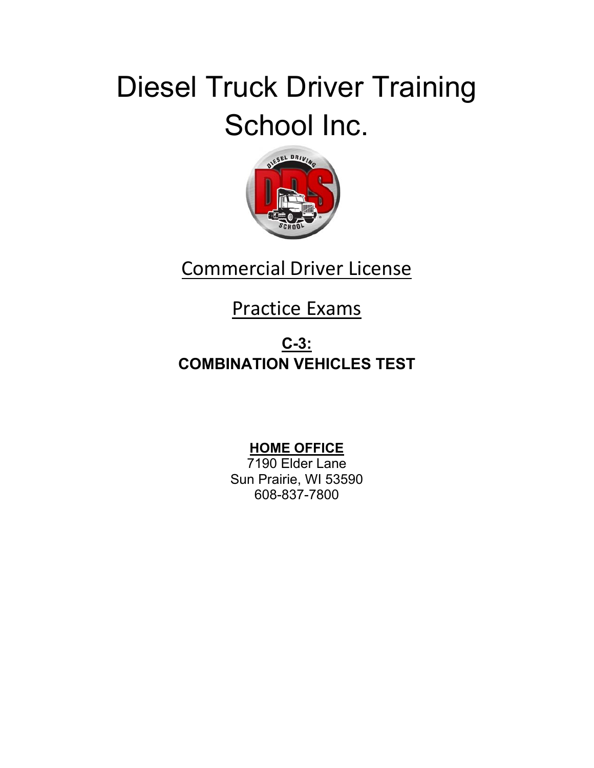# Diesel Truck Driver Training School Inc.



# Commercial Driver License

# Practice Exams

#### **C-3: COMBINATION VEHICLES TEST**

#### **HOME OFFICE**

7190 Elder Lane Sun Prairie, WI 53590 608-837-7800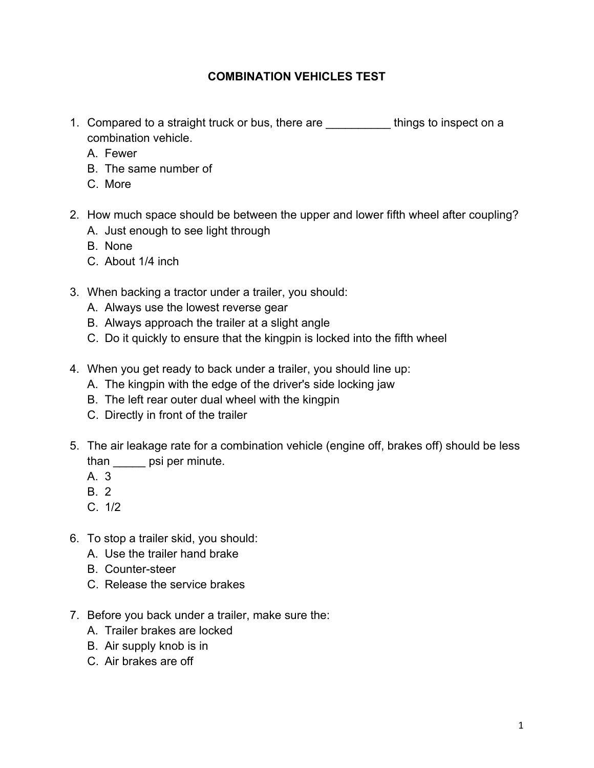#### **COMBINATION VEHICLES TEST**

- 1. Compared to a straight truck or bus, there are \_\_\_\_\_\_\_\_\_\_ things to inspect on a combination vehicle.
	- A. Fewer
	- B. The same number of
	- C. More
- 2. How much space should be between the upper and lower fifth wheel after coupling?
	- A. Just enough to see light through
	- B. None
	- C. About 1/4 inch
- 3. When backing a tractor under a trailer, you should:
	- A. Always use the lowest reverse gear
	- B. Always approach the trailer at a slight angle
	- C. Do it quickly to ensure that the kingpin is locked into the fifth wheel
- 4. When you get ready to back under a trailer, you should line up:
	- A. The kingpin with the edge of the driver's side locking jaw
	- B. The left rear outer dual wheel with the kingpin
	- C. Directly in front of the trailer
- 5. The air leakage rate for a combination vehicle (engine off, brakes off) should be less than **psi per minute**.
	- A. 3
	- B. 2
	- $C. 1/2$
- 6. To stop a trailer skid, you should:
	- A. Use the trailer hand brake
	- B. Counter-steer
	- C. Release the service brakes
- 7. Before you back under a trailer, make sure the:
	- A. Trailer brakes are locked
	- B. Air supply knob is in
	- C. Air brakes are off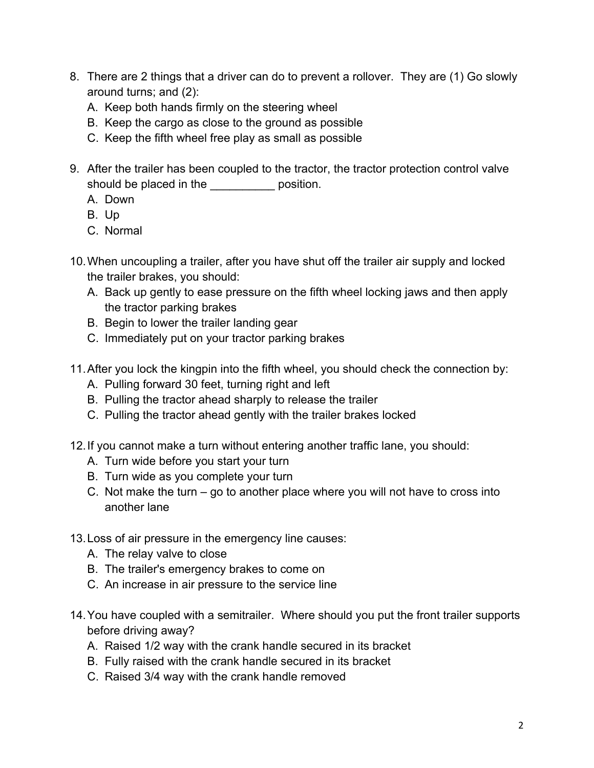- 8. There are 2 things that a driver can do to prevent a rollover. They are (1) Go slowly around turns; and (2):
	- A. Keep both hands firmly on the steering wheel
	- B. Keep the cargo as close to the ground as possible
	- C. Keep the fifth wheel free play as small as possible
- 9. After the trailer has been coupled to the tractor, the tractor protection control valve should be placed in the position.
	- A. Down
	- B. Up
	- C. Normal
- 10. When uncoupling a trailer, after you have shut off the trailer air supply and locked the trailer brakes, you should:
	- A. Back up gently to ease pressure on the fifth wheel locking jaws and then apply the tractor parking brakes
	- B. Begin to lower the trailer landing gear
	- C. Immediately put on your tractor parking brakes
- 11. After you lock the kingpin into the fifth wheel, you should check the connection by:
	- A. Pulling forward 30 feet, turning right and left
	- B. Pulling the tractor ahead sharply to release the trailer
	- C. Pulling the tractor ahead gently with the trailer brakes locked
- 12. If you cannot make a turn without entering another traffic lane, you should:
	- A. Turn wide before you start your turn
	- B. Turn wide as you complete your turn
	- C. Not make the turn go to another place where you will not have to cross into another lane
- 13. Loss of air pressure in the emergency line causes:
	- A. The relay valve to close
	- B. The trailer's emergency brakes to come on
	- C. An increase in air pressure to the service line
- 14. You have coupled with a semitrailer. Where should you put the front trailer supports before driving away?
	- A. Raised 1/2 way with the crank handle secured in its bracket
	- B. Fully raised with the crank handle secured in its bracket
	- C. Raised 3/4 way with the crank handle removed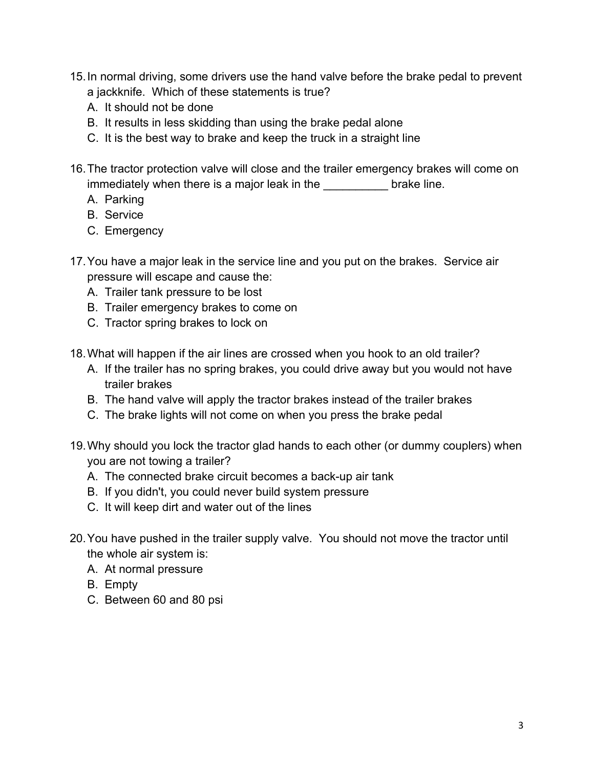- 15. In normal driving, some drivers use the hand valve before the brake pedal to prevent a jackknife. Which of these statements is true?
	- A. It should not be done
	- B. It results in less skidding than using the brake pedal alone
	- C. It is the best way to brake and keep the truck in a straight line
- 16. The tractor protection valve will close and the trailer emergency brakes will come on immediately when there is a major leak in the **Example 20** brake line.
	- A. Parking
	- B. Service
	- C. Emergency
- 17. You have a major leak in the service line and you put on the brakes. Service air pressure will escape and cause the:
	- A. Trailer tank pressure to be lost
	- B. Trailer emergency brakes to come on
	- C. Tractor spring brakes to lock on
- 18. What will happen if the air lines are crossed when you hook to an old trailer?
	- A. If the trailer has no spring brakes, you could drive away but you would not have trailer brakes
	- B. The hand valve will apply the tractor brakes instead of the trailer brakes
	- C. The brake lights will not come on when you press the brake pedal
- 19. Why should you lock the tractor glad hands to each other (or dummy couplers) when you are not towing a trailer?
	- A. The connected brake circuit becomes a back-up air tank
	- B. If you didn't, you could never build system pressure
	- C. It will keep dirt and water out of the lines
- 20. You have pushed in the trailer supply valve. You should not move the tractor until the whole air system is:
	- A. At normal pressure
	- B. Empty
	- C. Between 60 and 80 psi